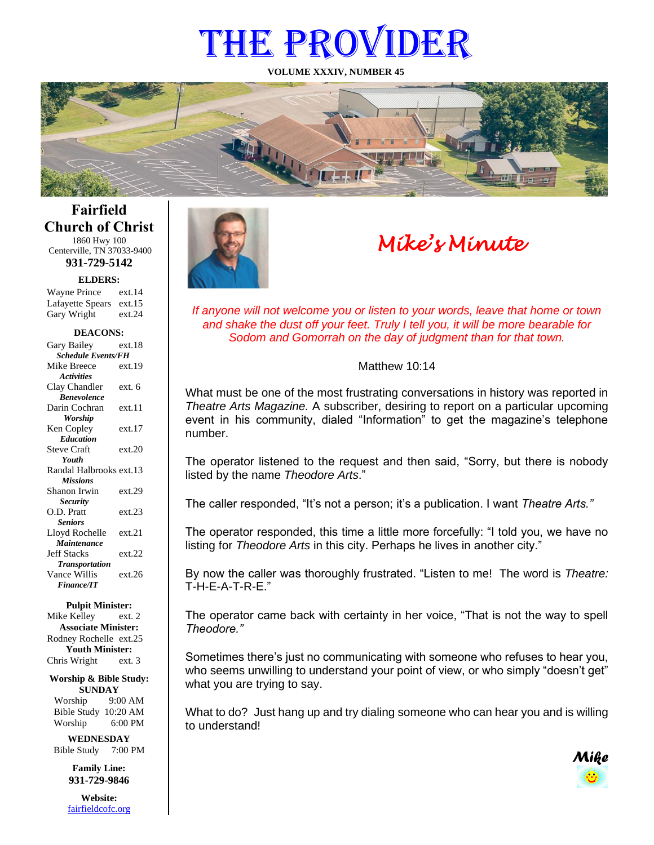# THE PROVIDER

**VOLUME XXXIV, NUMBER 45**



## **Fairfield Church of Christ** 1860 Hwy 100

Centerville, TN 37033-9400 **931-729-5142**

**ELDERS:**

Gary Wright ext.24 Wayne Prince ext.14 Lafayette Spears ext.15

#### **DEACONS:**

| Gary Bailey               | ext 18 |  |
|---------------------------|--------|--|
| <b>Schedule Events/FH</b> |        |  |
| Mike Breece               | ext.19 |  |
| <b>Activities</b>         |        |  |
| Clay Chandler             | ext. 6 |  |
| <b>Benevolence</b>        |        |  |
| Darin Cochran             | ext.11 |  |
| Worship                   |        |  |
| Ken Copley                | ext.17 |  |
| <b>Education</b>          |        |  |
| <b>Steve Craft</b>        | ext.20 |  |
| Youth                     |        |  |
| Randal Halbrooks ext.13   |        |  |
| <b>Missions</b>           |        |  |
| Shanon Irwin              | ext.29 |  |
| <b>Security</b>           |        |  |
| O.D. Pratt                | ext.23 |  |
| <b>Seniors</b>            |        |  |
| Lloyd Rochelle            | ext.21 |  |
| Maintenance               |        |  |
| <b>Jeff Stacks</b>        | ext.22 |  |
| <b>Transportation</b>     |        |  |
| Vance Willis              | ext.26 |  |
| <b>Finance/IT</b>         |        |  |

#### **Pulpit Minister:**

Mike Kelley ext. 2 **Associate Minister:** Rodney Rochelle ext.25 **Youth Minister:** Chris Wright ext. 3

#### **Worship & Bible Study: SUNDAY**

Worship 9:00 AM Bible Study 10:20 AM Worship 6:00 PM

**WEDNESDAY** Bible Study 7:00 PM

> **Family Line: 931-729-9846**

**Website:** [fairfieldcofc.org](file:///C:/Users/RickJoyce/Documents/Fairfield%20Website%20Files/fairfieldchurchofchrist.org)



## *Mike's Minute*

*If anyone will not welcome you or listen to your words, leave that home or town and shake the dust off your feet. Truly I tell you, it will be more bearable for Sodom and Gomorrah on the day of judgment than for that town.*

### Matthew 10:14

What must be one of the most frustrating conversations in history was reported in *Theatre Arts Magazine.* A subscriber, desiring to report on a particular upcoming event in his community, dialed "Information" to get the magazine's telephone number.

The operator listened to the request and then said, "Sorry, but there is nobody listed by the name *Theodore Arts*."

The caller responded, "It's not a person; it's a publication. I want *Theatre Arts."* 

The operator responded, this time a little more forcefully: "I told you, we have no listing for *Theodore Arts* in this city. Perhaps he lives in another city."

By now the caller was thoroughly frustrated. "Listen to me! The word is *Theatre:*   $T-H-F-A-T-R-F$ "

The operator came back with certainty in her voice, "That is not the way to spell *Theodore."* 

Sometimes there's just no communicating with someone who refuses to hear you, who seems unwilling to understand your point of view, or who simply "doesn't get" what you are trying to say.

What to do? Just hang up and try dialing someone who can hear you and is willing to understand!

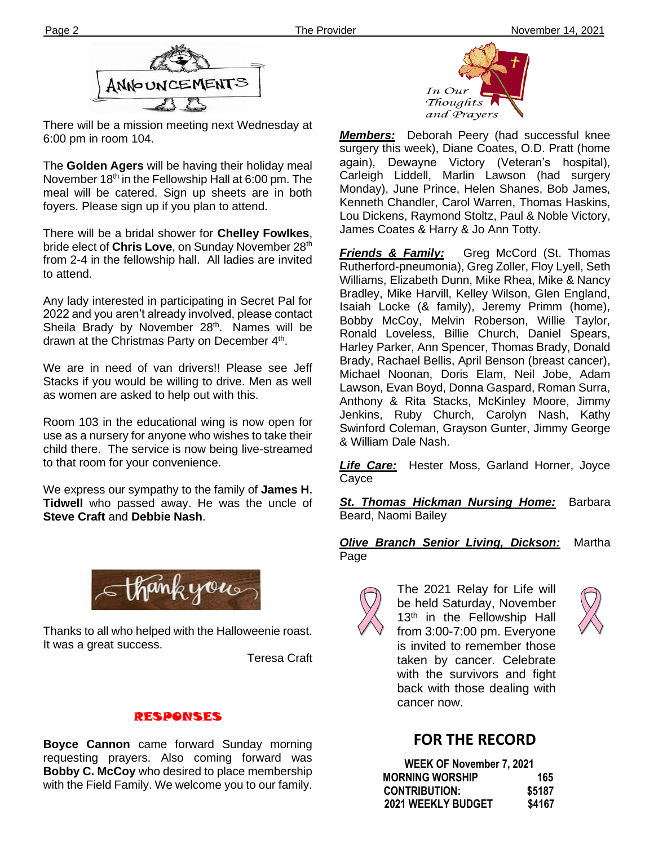

There will be a mission meeting next Wednesday at 6:00 pm in room 104.

The **Golden Agers** will be having their holiday meal November  $18<sup>th</sup>$  in the Fellowship Hall at 6:00 pm. The meal will be catered. Sign up sheets are in both foyers. Please sign up if you plan to attend.

There will be a bridal shower for **Chelley Fowlkes**, bride elect of **Chris Love**, on Sunday November 28<sup>th</sup> from 2-4 in the fellowship hall. All ladies are invited to attend.

Any lady interested in participating in Secret Pal for 2022 and you aren't already involved, please contact Sheila Brady by November 28<sup>th</sup>. Names will be drawn at the Christmas Party on December 4<sup>th</sup>.

We are in need of van drivers!! Please see Jeff Stacks if you would be willing to drive. Men as well as women are asked to help out with this.

Room 103 in the educational wing is now open for use as a nursery for anyone who wishes to take their child there. The service is now being live-streamed to that room for your convenience.

We express our sympathy to the family of **James H. Tidwell** who passed away. He was the uncle of **Steve Craft** and **Debbie Nash**.



Thanks to all who helped with the Halloweenie roast. It was a great success.

Teresa Craft

## RESPONSES

**Boyce Cannon** came forward Sunday morning requesting prayers. Also coming forward was **Bobby C. McCoy** who desired to place membership with the Field Family. We welcome you to our family.



*Members:* Deborah Peery (had successful knee surgery this week), Diane Coates, O.D. Pratt (home again), Dewayne Victory (Veteran's hospital), Carleigh Liddell, Marlin Lawson (had surgery Monday), June Prince, Helen Shanes, Bob James, Kenneth Chandler, Carol Warren, Thomas Haskins, Lou Dickens, Raymond Stoltz, Paul & Noble Victory, James Coates & Harry & Jo Ann Totty.

*Friends & Family:* Greg McCord (St. Thomas Rutherford-pneumonia), Greg Zoller, Floy Lyell, Seth Williams, Elizabeth Dunn, Mike Rhea, Mike & Nancy Bradley, Mike Harvill, Kelley Wilson, Glen England, Isaiah Locke (& family), Jeremy Primm (home), Bobby McCoy, Melvin Roberson, Willie Taylor, Ronald Loveless, Billie Church, Daniel Spears, Harley Parker, Ann Spencer, Thomas Brady, Donald Brady, Rachael Bellis, April Benson (breast cancer), Michael Noonan, Doris Elam, Neil Jobe, Adam Lawson, Evan Boyd, Donna Gaspard, Roman Surra, Anthony & Rita Stacks, McKinley Moore, Jimmy Jenkins, Ruby Church, Carolyn Nash, Kathy Swinford Coleman, Grayson Gunter, Jimmy George & William Dale Nash.

*Life Care:* Hester Moss, Garland Horner, Joyce Cayce

*St. Thomas Hickman Nursing Home:* Barbara Beard, Naomi Bailey

### *Olive Branch Senior Living, Dickson:* Martha Page



The 2021 Relay for Life will be held Saturday, November 13<sup>th</sup> in the Fellowship Hall from 3:00-7:00 pm. Everyone is invited to remember those taken by cancer. Celebrate with the survivors and fight back with those dealing with cancer now.



## **FOR THE RECORD**

| WEEK OF November 7, 2021 |        |
|--------------------------|--------|
| <b>MORNING WORSHIP</b>   | 165    |
| <b>CONTRIBUTION:</b>     | \$5187 |
| 2021 WEEKLY BUDGET       | \$4167 |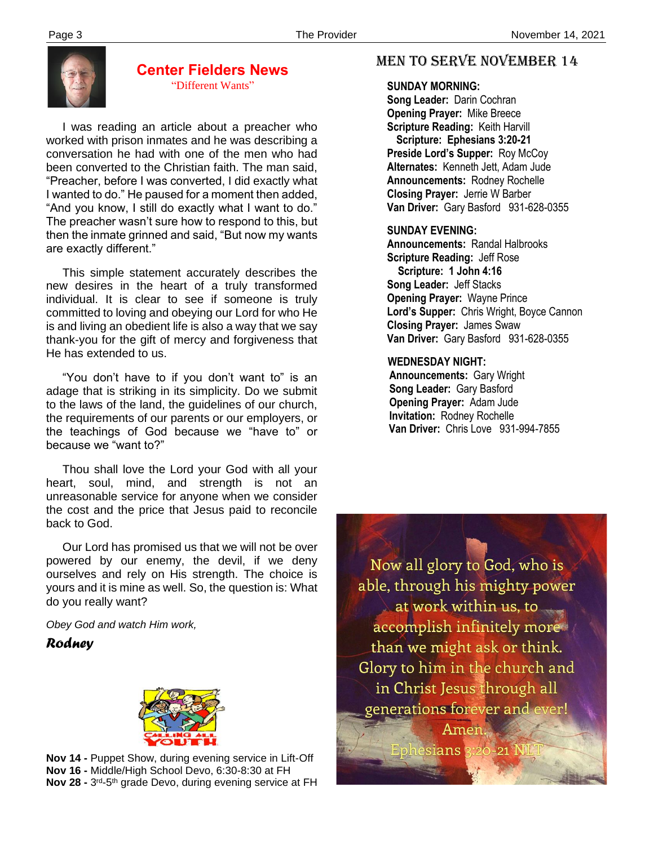

#### **Center Fielders News** "Different Wants"

 I was reading an article about a preacher who worked with prison inmates and he was describing a conversation he had with one of the men who had been converted to the Christian faith. The man said, "Preacher, before I was converted, I did exactly what I wanted to do." He paused for a moment then added, "And you know, I still do exactly what I want to do." The preacher wasn't sure how to respond to this, but then the inmate grinned and said, "But now my wants are exactly different."

 This simple statement accurately describes the new desires in the heart of a truly transformed individual. It is clear to see if someone is truly committed to loving and obeying our Lord for who He is and living an obedient life is also a way that we say thank-you for the gift of mercy and forgiveness that He has extended to us.

 "You don't have to if you don't want to" is an adage that is striking in its simplicity. Do we submit to the laws of the land, the guidelines of our church, the requirements of our parents or our employers, or the teachings of God because we "have to" or because we "want to?"

 Thou shall love the Lord your God with all your heart, soul, mind, and strength is not an unreasonable service for anyone when we consider the cost and the price that Jesus paid to reconcile back to God.

 do you really want? Our Lord has promised us that we will not be over powered by our enemy, the devil, if we deny ourselves and rely on His strength. The choice is yours and it is mine as well. So, the question is: What

*Obey God and watch Him work,*

*Rodney*



 **Nov 14 -** Puppet Show, during evening service in Lift-Off **Nov 16 -** Middle/High School Devo, 6:30-8:30 at FH **Nov 28 -** 3<sup>rd</sup>-5<sup>th</sup> grade Devo, during evening service at FH

## MEN TO SERVE November 14

 **SUNDAY MORNING:**

**Song Leader:** Darin Cochran  **Opening Prayer:** Mike Breece **Scripture Reading:** Keith Harvill  **Scripture: Ephesians 3:20-21 Preside Lord's Supper:** Roy McCoy  **Alternates:** Kenneth Jett, Adam Jude  **Announcements:** Rodney Rochelle  **Closing Prayer:** Jerrie W Barber **Van Driver:** Gary Basford 931-628-0355

## **SUNDAY EVENING:**

**Announcements:** Randal Halbrooks **Scripture Reading:** Jeff Rose  **Scripture: 1 John 4:16 Song Leader:** Jeff Stacks **Opening Prayer:** Wayne Prince **Lord's Supper:** Chris Wright, Boyce Cannon **Closing Prayer:** James Swaw **Van Driver:** Gary Basford 931-628-0355

### **WEDNESDAY NIGHT:**

**Announcements:** Gary Wright **Song Leader:** Gary Basford **Opening Prayer:** Adam Jude **Invitation:** Rodney Rochelle  **Van Driver:** Chris Love 931-994-7855

Now all glory to God, who is able, through his mighty power  $\lambda$  at work within us, to  $\sim$ accomplish infinitely mores than we might ask or think. Glory to him in the church and in Christ Jesus through all generations forever and ever! Amen.

Ephesians 3:20-21 N